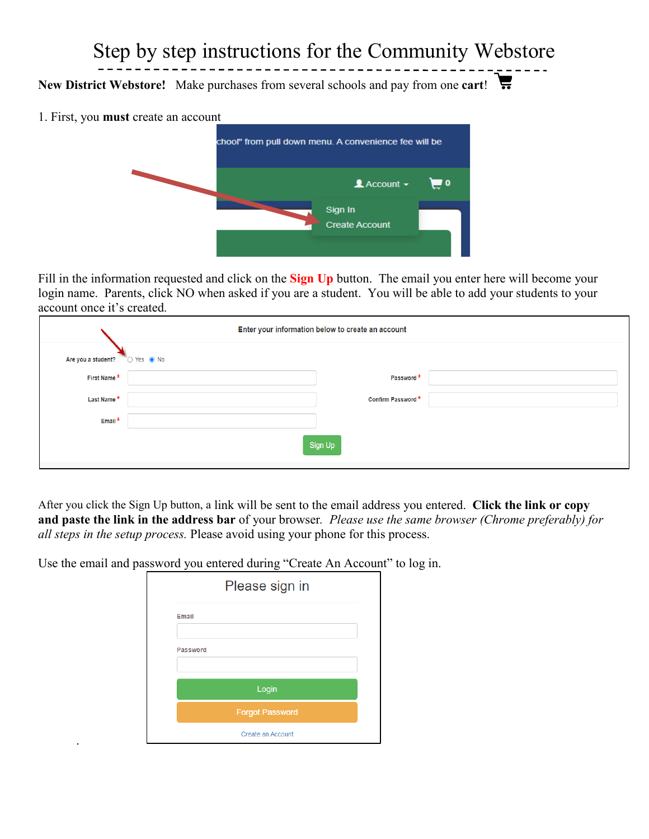## Step by step instructions for the Community Webstore

**New District Webstore!** Make purchases from several schools and pay from one **cart**!

1. First, you **must** create an account

.



Fill in the information requested and click on the **Sign Up** button. The email you enter here will become your login name. Parents, click NO when asked if you are a student. You will be able to add your students to your account once it's created.

| Enter your information below to create an account |            |                   |  |  |  |
|---------------------------------------------------|------------|-------------------|--|--|--|
| Are you a student?                                | ◯ Yes ● No |                   |  |  |  |
| First Name*                                       |            | Password*         |  |  |  |
| Last Name*                                        |            | Confirm Password* |  |  |  |
| Email*                                            |            |                   |  |  |  |
| Sign Up                                           |            |                   |  |  |  |

After you click the Sign Up button, a link will be sent to the email address you entered. **Click the link or copy and paste the link in the address bar** of your browser*. Please use the same browser (Chrome preferably) for all steps in the setup process.* Please avoid using your phone for this process.

Use the email and password you entered during "Create An Account" to log in.

|                 | Please sign in         |
|-----------------|------------------------|
| Email           |                        |
| <b>Password</b> |                        |
|                 | Login                  |
|                 | <b>Forgot Password</b> |
|                 | Create an Account      |